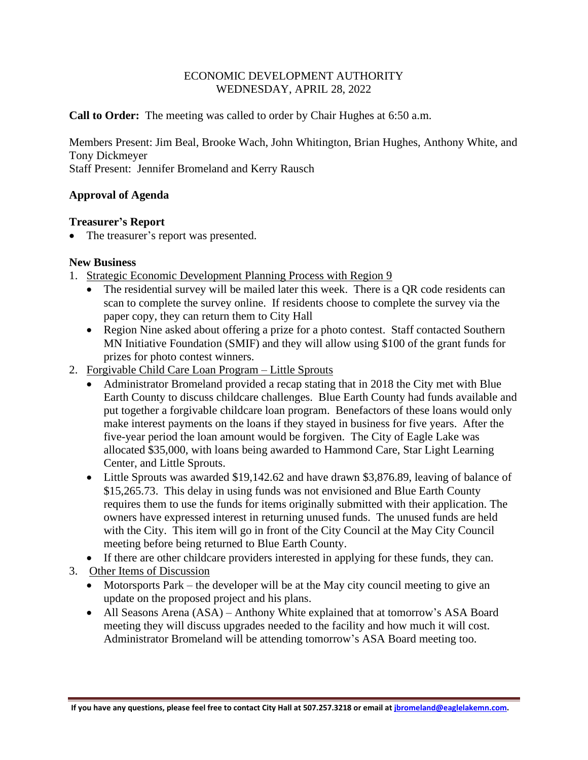## ECONOMIC DEVELOPMENT AUTHORITY WEDNESDAY, APRIL 28, 2022

**Call to Order:** The meeting was called to order by Chair Hughes at 6:50 a.m.

Members Present: Jim Beal, Brooke Wach, John Whitington, Brian Hughes, Anthony White, and Tony Dickmeyer

Staff Present: Jennifer Bromeland and Kerry Rausch

## **Approval of Agenda**

## **Treasurer's Report**

The treasurer's report was presented.

## **New Business**

- 1. Strategic Economic Development Planning Process with Region 9
	- The residential survey will be mailed later this week. There is a QR code residents can scan to complete the survey online. If residents choose to complete the survey via the paper copy, they can return them to City Hall
	- Region Nine asked about offering a prize for a photo contest. Staff contacted Southern MN Initiative Foundation (SMIF) and they will allow using \$100 of the grant funds for prizes for photo contest winners.
- 2. Forgivable Child Care Loan Program Little Sprouts
	- Administrator Bromeland provided a recap stating that in 2018 the City met with Blue Earth County to discuss childcare challenges. Blue Earth County had funds available and put together a forgivable childcare loan program. Benefactors of these loans would only make interest payments on the loans if they stayed in business for five years. After the five-year period the loan amount would be forgiven. The City of Eagle Lake was allocated \$35,000, with loans being awarded to Hammond Care, Star Light Learning Center, and Little Sprouts.
	- Little Sprouts was awarded \$19,142.62 and have drawn \$3,876.89, leaving of balance of \$15,265.73. This delay in using funds was not envisioned and Blue Earth County requires them to use the funds for items originally submitted with their application. The owners have expressed interest in returning unused funds. The unused funds are held with the City. This item will go in front of the City Council at the May City Council meeting before being returned to Blue Earth County.
	- If there are other childcare providers interested in applying for these funds, they can.
- 3. Other Items of Discussion
	- Motorsports Park the developer will be at the May city council meeting to give an update on the proposed project and his plans.
	- All Seasons Arena (ASA) Anthony White explained that at tomorrow's ASA Board meeting they will discuss upgrades needed to the facility and how much it will cost. Administrator Bromeland will be attending tomorrow's ASA Board meeting too.